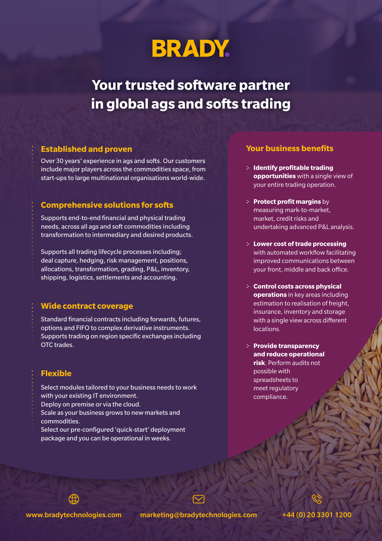## **BRADY.**

**Your trusted software partner in global ags and softs trading**

Over 30 years' experience in ags and softs. Our customers include major players across the commodities space, from start-ups to large multinational organisations world-wide.

#### **Comprehensive solutions for softs**

Supports end-to-end financial and physical trading needs, across all ags and soft commodities including transformation to intermediary and desired products.

Supports all trading lifecycle processes including; deal capture, hedging, risk management, positions, allocations, transformation, grading, P&L, inventory, shipping, logistics, settlements and accounting.

#### **Wide contract coverage**

Standard financial contracts including forwards, futures, options and FIFO to complex derivative instruments. Supports trading on region specific exchanges including OTC trades.

### **Flexible**

- Select modules tailored to your business needs to work with your existing IT environment.
- Deploy on premise or via the cloud.
- Scale as your business grows to new markets and commodities.
- Select our pre-configured 'quick-start' deployment package and you can be operational in weeks.

#### **Established and proven Your business benefits**

- **Identify profitable trading opportunities** with a single view of your entire trading operation.
- **Protect profit margins by** measuring mark-to-market, market, credit risks and undertaking advanced P&L analysis.
- **Lower cost of trade processing**  with automated workflow facilitating improved communications between your front, middle and back office.
- **Control costs across physical operations** in key areas including estimation to realisation of freight, insurance, inventory and storage with a single view across different locations.
- **Provide transparency and reduce operational risk**. Perform audits not possible with spreadsheets to meet regulatory compliance.

www.bradytechnologies.com marketing@bradytechnologies.com +44 (0) 20 3301 1200